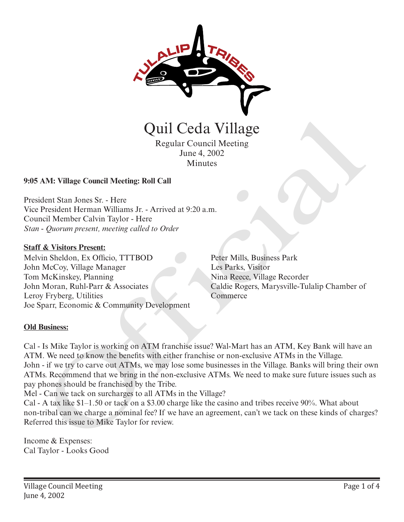

Regular Council Meeting June 4, 2002 **Minutes** 

# **9:05 AM: Village Council Meeting: Roll Call**

President Stan Jones Sr. - Here Vice President Herman Williams Jr. - Arrived at 9:20 a.m. Council Member Calvin Taylor - Here *Stan - Quorum present, meeting called to Order*

### **Staff & Visitors Present:**

Melvin Sheldon, Ex Officio, TTTBOD John McCoy, Village Manager Tom McKinskey, Planning John Moran, Ruhl-Parr & Associates Leroy Fryberg, Utilities Joe Sparr, Economic & Community Development Peter Mills, Business Park Les Parks, Visitor Nina Reece, Village Recorder Caldie Rogers, Marysville-Tulalip Chamber of **Commerce** 

## **Old Business:**

Cal - Is Mike Taylor is working on ATM franchise issue? Wal-Mart has an ATM, Key Bank will have an ATM. We need to know the benefits with either franchise or non-exclusive ATMs in the Village. John - if we try to carve out ATMs, we may lose some businesses in the Village. Banks will bring their own ATMs. Recommend that we bring in the non-exclusive ATMs. We need to make sure future issues such as pay phones should be franchised by the Tribe. **CHATA CONTROLL COMPRESS**<br>
Regular Council Meeting<br>
June 4, 2002<br>
Minutes<br>
June 4, 2002<br>
Minutes<br>
AM: Village Council Meeting: Roll Call<br>
dent Stan Jones Sr. - Here<br>
President Herman Williams Jr. - Arrived at 9:20 a.m.<br>
Th

Mel - Can we tack on surcharges to all ATMs in the Village?

Cal - A tax like \$1–1.50 or tack on a \$3.00 charge like the casino and tribes receive 90%. What about non-tribal can we charge a nominal fee? If we have an agreement, can't we tack on these kinds of charges? Referred this issue to Mike Taylor for review.

Income & Expenses: Cal Taylor - Looks Good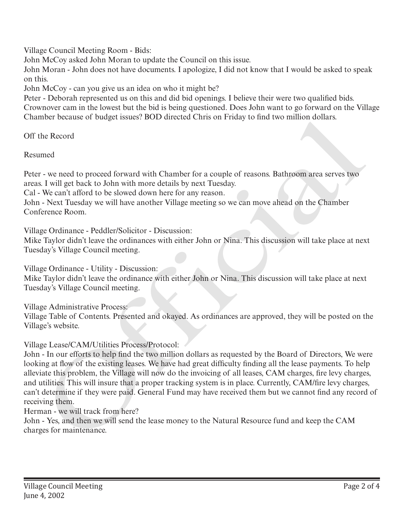Village Council Meeting Room - Bids:

John McCoy asked John Moran to update the Council on this issue.

John Moran - John does not have documents. I apologize, I did not know that I would be asked to speak on this.

John McCoy - can you give us an idea on who it might be?

Peter - Deborah represented us on this and did bid openings. I believe their were two qualified bids. Crownover cam in the lowest but the bid is being questioned. Does John want to go forward on the Village Chamber because of budget issues? BOD directed Chris on Friday to find two million dollars.

Off the Record

Resumed

Peter - we need to proceed forward with Chamber for a couple of reasons. Bathroom area serves two areas. I will get back to John with more details by next Tuesday.

Cal - We can't afford to be slowed down here for any reason.

John - Next Tuesday we will have another Village meeting so we can move ahead on the Chamber Conference Room.

Village Ordinance - Peddler/Solicitor - Discussion:

Mike Taylor didn't leave the ordinances with either John or Nina. This discussion will take place at next Tuesday's Village Council meeting.

Village Ordinance - Utility - Discussion: Mike Taylor didn't leave the ordinance with either John or Nina. This discussion will take place at next Tuesday's Village Council meeting.

Village Administrative Process: Village Table of Contents. Presented and okayed. As ordinances are approved, they will be posted on the Village's website.

Village Lease/CAM/Utilities Process/Protocol:

John - In our efforts to help find the two million dollars as requested by the Board of Directors, We were looking at flow of the existing leases. We have had great difficulty finding all the lease payments. To help alleviate this problem, the Village will now do the invoicing of all leases, CAM charges, fire levy charges, and utilities. This will insure that a proper tracking system is in place. Currently, CAM/fire levy charges, can't determine if they were paid. General Fund may have received them but we cannot find any record of receiving them. Charges for the control of the control of the Natural Resource for Marine Technical Resource for maintenance.<br>
Resumed the Record of Persons For main and the Record Persons. But the Record Persons I will get back to John w

Herman - we will track from here?

John - Yes, and then we will send the lease money to the Natural Resource fund and keep the CAM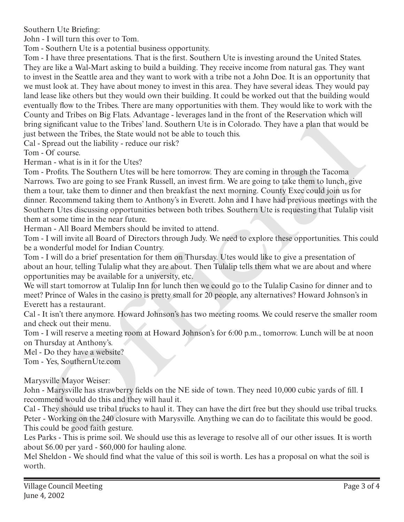Southern Ute Briefing:

John - I will turn this over to Tom.

Tom - Southern Ute is a potential business opportunity.

Tom - I have three presentations. That is the first. Southern Ute is investing around the United States. They are like a Wal-Mart asking to build a building. They receive income from natural gas. They want to invest in the Seattle area and they want to work with a tribe not a John Doe. It is an opportunity that we must look at. They have about money to invest in this area. They have several ideas. They would pay land lease like others but they would own their building. It could be worked out that the building would eventually flow to the Tribes. There are many opportunities with them. They would like to work with the County and Tribes on Big Flats. Advantage - leverages land in the front of the Reservation which will bring significant value to the Tribes' land. Southern Ute is in Colorado. They have a plan that would be just between the Tribes, the State would not be able to touch this.

Cal - Spread out the liability - reduce our risk?

Tom - Of course.

Herman - what is in it for the Utes?

Tom - Profits. The Southern Utes will be here tomorrow. They are coming in through the Tacoma Narrows. Two are going to see Frank Russell, an invest firm. We are going to take them to lunch, give them a tour, take them to dinner and then breakfast the next morning. County Exec could join us for dinner. Recommend taking them to Anthony's in Everett. John and I have had previous meetings with the Southern Utes discussing opportunities between both tribes. Southern Ute is requesting that Tulalip visit them at some time in the near future. ay an introduct of the This state and Solution Uc is in Colorado. They have a plan had would be significant value to the Tribes hand. Southern Uc is in Colorado. They have a plan had would be significant value to the Tribe

Herman - All Board Members should be invited to attend.

Tom - I will invite all Board of Directors through Judy. We need to explore these opportunities. This could be a wonderful model for Indian Country.

Tom - I will do a brief presentation for them on Thursday. Utes would like to give a presentation of about an hour, telling Tulalip what they are about. Then Tulalip tells them what we are about and where opportunities may be available for a university, etc.

We will start tomorrow at Tulalip Inn for lunch then we could go to the Tulalip Casino for dinner and to meet? Prince of Wales in the casino is pretty small for 20 people, any alternatives? Howard Johnson's in Everett has a restaurant.

Cal - It isn't there anymore. Howard Johnson's has two meeting rooms. We could reserve the smaller room and check out their menu.

Tom - I will reserve a meeting room at Howard Johnson's for 6:00 p.m., tomorrow. Lunch will be at noon on Thursday at Anthony's.

Mel - Do they have a website?

Tom - Yes, SouthernUte.com

Marysville Mayor Weiser:

John - Marysville has strawberry fields on the NE side of town. They need 10,000 cubic yards of fill. I recommend would do this and they will haul it.

Cal - They should use tribal trucks to haul it. They can have the dirt free but they should use tribal trucks. Peter - Working on the 240 closure with Marysville. Anything we can do to facilitate this would be good. This could be good faith gesture.

Les Parks - This is prime soil. We should use this as leverage to resolve all of our other issues. It is worth about \$6.00 per yard - \$60,000 for hauling alone.

Mel Sheldon - We should find what the value of this soil is worth. Les has a proposal on what the soil is worth.